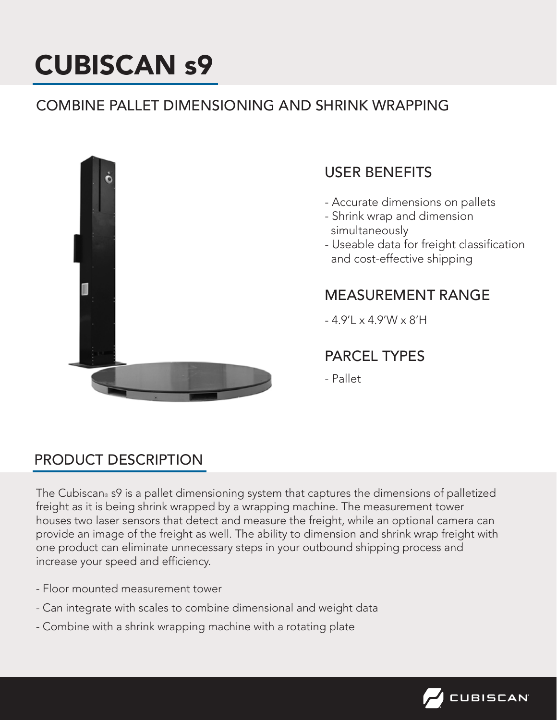# CUBISCAN s9

# COMBINE PALLET DIMENSIONING AND SHRINK WRAPPING



## USER BENEFITS

- Accurate dimensions on pallets
- Shrink wrap and dimension simultaneously
- Useable data for freight classification and cost-effective shipping

#### MEASUREMENT RANGE

- 4.9'L x 4.9'W x 8'H

# PARCEL TYPES

- Pallet

# PRODUCT DESCRIPTION

The Cubiscan® s9 is a pallet dimensioning system that captures the dimensions of palletized freight as it is being shrink wrapped by a wrapping machine. The measurement tower houses two laser sensors that detect and measure the freight, while an optional camera can provide an image of the freight as well. The ability to dimension and shrink wrap freight with one product can eliminate unnecessary steps in your outbound shipping process and increase your speed and efficiency.

- Floor mounted measurement tower
- Can integrate with scales to combine dimensional and weight data
- Combine with a shrink wrapping machine with a rotating plate